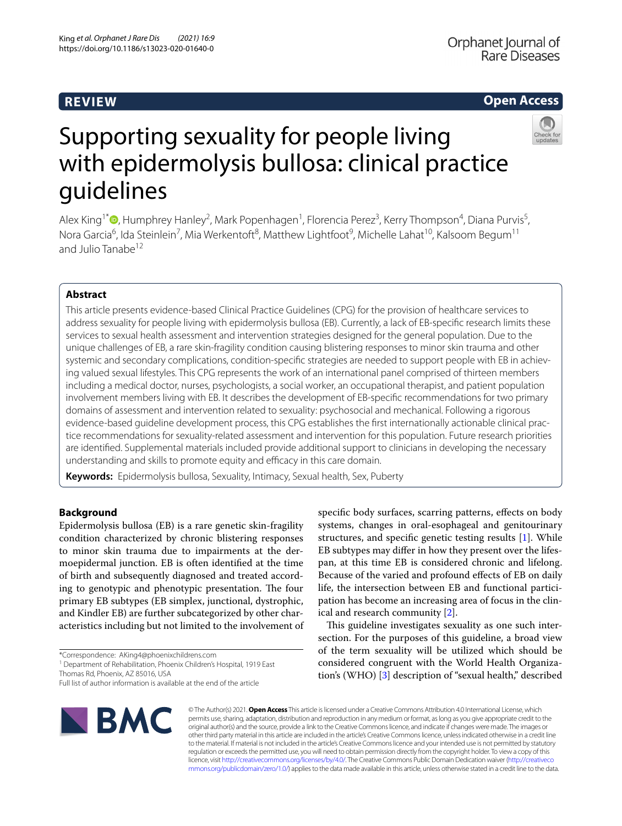# **REVIEW**

## **Open Access**



# Supporting sexuality for people living with epidermolysis bullosa: clinical practice guidelines

Alex King<sup>1\*</sup>®[,](http://orcid.org/0000-0003-1362-2004) Humphrey Hanley<sup>2</sup>, Mark Popenhagen<sup>1</sup>, Florencia Perez<sup>3</sup>, Kerry Thompson<sup>4</sup>, Diana Purvis<sup>5</sup>, Nora Garcia<sup>6</sup>, Ida Steinlein<sup>7</sup>, Mia Werkentoft<sup>8</sup>, Matthew Lightfoot<sup>9</sup>, Michelle Lahat<sup>10</sup>, Kalsoom Begum<sup>11</sup> and Julio Tanabe<sup>12</sup>

## **Abstract**

This article presents evidence-based Clinical Practice Guidelines (CPG) for the provision of healthcare services to address sexuality for people living with epidermolysis bullosa (EB). Currently, a lack of EB-specifc research limits these services to sexual health assessment and intervention strategies designed for the general population. Due to the unique challenges of EB, a rare skin-fragility condition causing blistering responses to minor skin trauma and other systemic and secondary complications, condition-specifc strategies are needed to support people with EB in achieving valued sexual lifestyles. This CPG represents the work of an international panel comprised of thirteen members including a medical doctor, nurses, psychologists, a social worker, an occupational therapist, and patient population involvement members living with EB. It describes the development of EB-specifc recommendations for two primary domains of assessment and intervention related to sexuality: psychosocial and mechanical. Following a rigorous evidence-based guideline development process, this CPG establishes the frst internationally actionable clinical practice recommendations for sexuality-related assessment and intervention for this population. Future research priorities are identifed. Supplemental materials included provide additional support to clinicians in developing the necessary understanding and skills to promote equity and efficacy in this care domain.

**Keywords:** Epidermolysis bullosa, Sexuality, Intimacy, Sexual health, Sex, Puberty

## **Background**

Epidermolysis bullosa (EB) is a rare genetic skin-fragility condition characterized by chronic blistering responses to minor skin trauma due to impairments at the dermoepidermal junction. EB is often identifed at the time of birth and subsequently diagnosed and treated according to genotypic and phenotypic presentation. The four primary EB subtypes (EB simplex, junctional, dystrophic, and Kindler EB) are further subcategorized by other characteristics including but not limited to the involvement of

\*Correspondence: AKing4@phoenixchildrens.com

<sup>1</sup> Department of Rehabilitation, Phoenix Children's Hospital, 1919 East Thomas Rd, Phoenix, AZ 85016, USA

Full list of author information is available at the end of the article



specifc body surfaces, scarring patterns, efects on body systems, changes in oral-esophageal and genitourinary structures, and specifc genetic testing results [\[1](#page-7-0)]. While EB subtypes may difer in how they present over the lifespan, at this time EB is considered chronic and lifelong. Because of the varied and profound efects of EB on daily life, the intersection between EB and functional participation has become an increasing area of focus in the clinical and research community [\[2\]](#page-7-1).

This guideline investigates sexuality as one such intersection. For the purposes of this guideline, a broad view of the term sexuality will be utilized which should be considered congruent with the World Health Organization's (WHO) [[3\]](#page-7-2) description of "sexual health," described

© The Author(s) 2021. **Open Access** This article is licensed under a Creative Commons Attribution 4.0 International License, which permits use, sharing, adaptation, distribution and reproduction in any medium or format, as long as you give appropriate credit to the original author(s) and the source, provide a link to the Creative Commons licence, and indicate if changes were made. The images or other third party material in this article are included in the article's Creative Commons licence, unless indicated otherwise in a credit line to the material. If material is not included in the article's Creative Commons licence and your intended use is not permitted by statutory regulation or exceeds the permitted use, you will need to obtain permission directly from the copyright holder. To view a copy of this licence, visit [http://creativecommons.org/licenses/by/4.0/.](http://creativecommons.org/licenses/by/4.0/) The Creative Commons Public Domain Dedication waiver ([http://creativeco](http://creativecommons.org/publicdomain/zero/1.0/) [mmons.org/publicdomain/zero/1.0/](http://creativecommons.org/publicdomain/zero/1.0/)) applies to the data made available in this article, unless otherwise stated in a credit line to the data.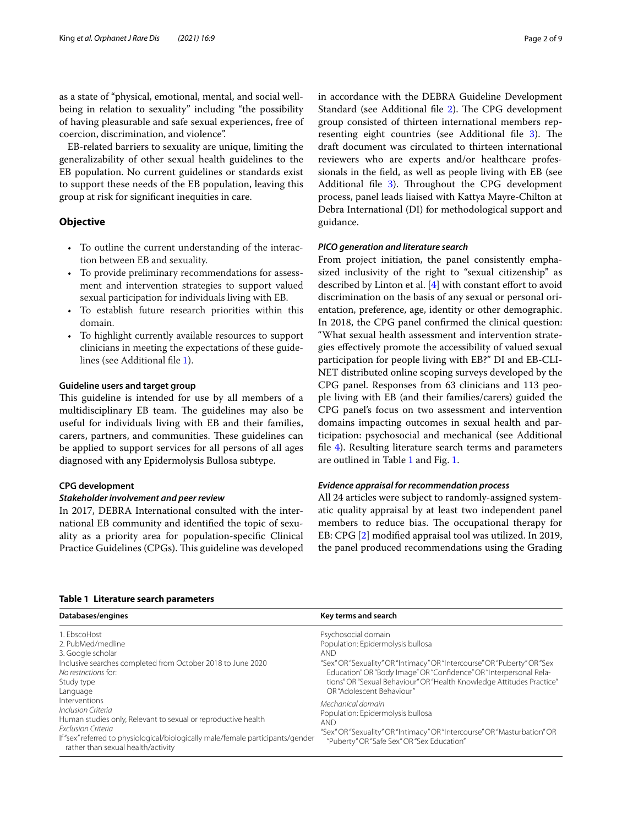as a state of "physical, emotional, mental, and social wellbeing in relation to sexuality" including "the possibility of having pleasurable and safe sexual experiences, free of coercion, discrimination, and violence".

EB-related barriers to sexuality are unique, limiting the generalizability of other sexual health guidelines to the EB population. No current guidelines or standards exist to support these needs of the EB population, leaving this group at risk for signifcant inequities in care.

## **Objective**

- To outline the current understanding of the interaction between EB and sexuality.
- To provide preliminary recommendations for assessment and intervention strategies to support valued sexual participation for individuals living with EB.
- To establish future research priorities within this domain.
- To highlight currently available resources to support clinicians in meeting the expectations of these guidelines (see Additional fle [1\)](#page-7-3).

## **Guideline users and target group**

This guideline is intended for use by all members of a multidisciplinary EB team. The guidelines may also be useful for individuals living with EB and their families, carers, partners, and communities. These guidelines can be applied to support services for all persons of all ages diagnosed with any Epidermolysis Bullosa subtype.

## **CPG development**

#### *Stakeholder involvement and peer review*

In 2017, DEBRA International consulted with the international EB community and identifed the topic of sexuality as a priority area for population-specifc Clinical Practice Guidelines (CPGs). This guideline was developed in accordance with the DEBRA Guideline Development Standard (see Additional file [2\)](#page-7-4). The CPG development group consisted of thirteen international members rep-resenting eight countries (see Additional file [3](#page-7-5)). The draft document was circulated to thirteen international reviewers who are experts and/or healthcare professionals in the feld, as well as people living with EB (see Additional file [3](#page-7-5)). Throughout the CPG development process, panel leads liaised with Kattya Mayre-Chilton at Debra International (DI) for methodological support and guidance.

## *PICO generation and literature search*

From project initiation, the panel consistently emphasized inclusivity of the right to "sexual citizenship" as described by Linton et al.  $[4]$  with constant effort to avoid discrimination on the basis of any sexual or personal orientation, preference, age, identity or other demographic. In 2018, the CPG panel confrmed the clinical question: "What sexual health assessment and intervention strategies efectively promote the accessibility of valued sexual participation for people living with EB?" DI and EB-CLI-NET distributed online scoping surveys developed by the CPG panel. Responses from 63 clinicians and 113 people living with EB (and their families/carers) guided the CPG panel's focus on two assessment and intervention domains impacting outcomes in sexual health and participation: psychosocial and mechanical (see Additional fle [4\)](#page-7-7). Resulting literature search terms and parameters are outlined in Table [1](#page-1-0) and Fig. [1.](#page-2-0)

## *Evidence appraisal for recommendation process*

All 24 articles were subject to randomly-assigned systematic quality appraisal by at least two independent panel members to reduce bias. The occupational therapy for EB: CPG [\[2](#page-7-1)] modifed appraisal tool was utilized. In 2019, the panel produced recommendations using the Grading

| Databases/engines                                                                                                                                                                                                                                          | Key terms and search                                                                                                                                                                                                                                                                                                           |
|------------------------------------------------------------------------------------------------------------------------------------------------------------------------------------------------------------------------------------------------------------|--------------------------------------------------------------------------------------------------------------------------------------------------------------------------------------------------------------------------------------------------------------------------------------------------------------------------------|
| 1. EbscoHost<br>2. PubMed/medline<br>3. Google scholar<br>Inclusive searches completed from October 2018 to June 2020<br>No restrictions for:<br>Study type<br>Language                                                                                    | Psychosocial domain<br>Population: Epidermolysis bullosa<br><b>AND</b><br>"Sex" OR "Sexuality" OR "Intimacy" OR "Intercourse" OR "Puberty" OR "Sex<br>Education" OR "Body Image" OR "Confidence" OR "Interpersonal Rela-<br>tions" OR "Sexual Behaviour" OR "Health Knowledge Attitudes Practice"<br>OR "Adolescent Behaviour" |
| Interventions<br>Inclusion Criteria<br>Human studies only, Relevant to sexual or reproductive health<br><b>Exclusion Criteria</b><br>If "sex" referred to physiological/biologically male/female participants/gender<br>rather than sexual health/activity | Mechanical domain<br>Population: Epidermolysis bullosa<br>AND.<br>"Sex" OR "Sexuality" OR "Intimacy" OR "Intercourse" OR "Masturbation" OR<br>"Puberty" OR "Safe Sex" OR "Sex Education"                                                                                                                                       |

#### <span id="page-1-0"></span>**Table 1 Literature search parameters**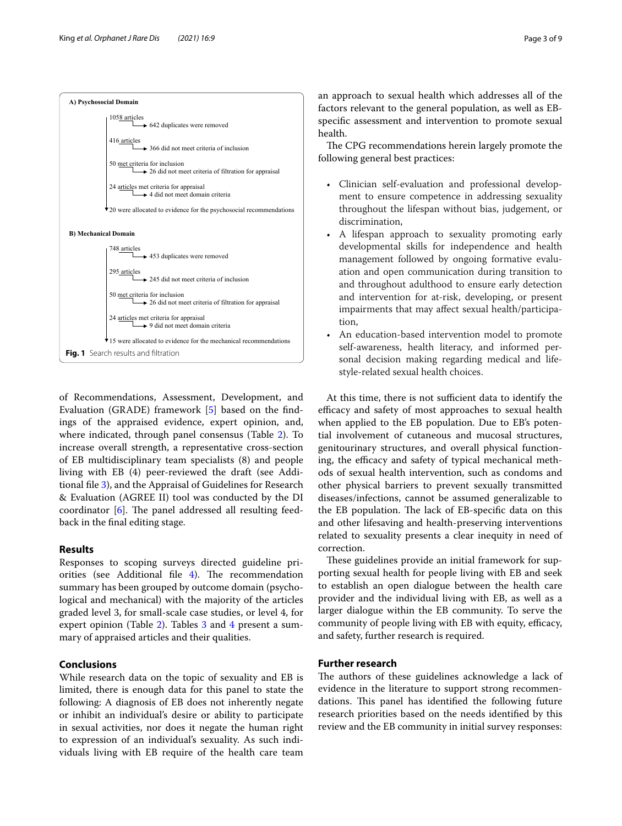

<span id="page-2-0"></span>of Recommendations, Assessment, Development, and Evaluation (GRADE) framework [[5\]](#page-7-8) based on the fndings of the appraised evidence, expert opinion, and, where indicated, through panel consensus (Table [2\)](#page-3-0). To increase overall strength, a representative cross-section of EB multidisciplinary team specialists (8) and people living with EB (4) peer-reviewed the draft (see Additional fle [3\)](#page-7-5), and the Appraisal of Guidelines for Research & Evaluation (AGREE II) tool was conducted by the DI coordinator  $[6]$  $[6]$ . The panel addressed all resulting feedback in the fnal editing stage.

#### **Results**

Responses to scoping surveys directed guideline priorities (see Additional file  $4$ ). The recommendation summary has been grouped by outcome domain (psychological and mechanical) with the majority of the articles graded level 3, for small-scale case studies, or level 4, for expert opinion (Table [2\)](#page-3-0). Tables [3](#page-6-0) and [4](#page-6-1) present a summary of appraised articles and their qualities.

## **Conclusions**

While research data on the topic of sexuality and EB is limited, there is enough data for this panel to state the following: A diagnosis of EB does not inherently negate or inhibit an individual's desire or ability to participate in sexual activities, nor does it negate the human right to expression of an individual's sexuality. As such individuals living with EB require of the health care team an approach to sexual health which addresses all of the factors relevant to the general population, as well as EBspecifc assessment and intervention to promote sexual health.

The CPG recommendations herein largely promote the following general best practices:

- Clinician self-evaluation and professional development to ensure competence in addressing sexuality throughout the lifespan without bias, judgement, or discrimination,
- A lifespan approach to sexuality promoting early developmental skills for independence and health management followed by ongoing formative evaluation and open communication during transition to and throughout adulthood to ensure early detection and intervention for at-risk, developing, or present impairments that may afect sexual health/participation,
- An education-based intervention model to promote self-awareness, health literacy, and informed personal decision making regarding medical and lifestyle-related sexual health choices.

At this time, there is not sufficient data to identify the efficacy and safety of most approaches to sexual health when applied to the EB population. Due to EB's potential involvement of cutaneous and mucosal structures, genitourinary structures, and overall physical functioning, the efficacy and safety of typical mechanical methods of sexual health intervention, such as condoms and other physical barriers to prevent sexually transmitted diseases/infections, cannot be assumed generalizable to the EB population. The lack of EB-specific data on this and other lifesaving and health-preserving interventions related to sexuality presents a clear inequity in need of correction.

These guidelines provide an initial framework for supporting sexual health for people living with EB and seek to establish an open dialogue between the health care provider and the individual living with EB, as well as a larger dialogue within the EB community. To serve the community of people living with EB with equity, efficacy, and safety, further research is required.

## **Further research**

The authors of these guidelines acknowledge a lack of evidence in the literature to support strong recommendations. This panel has identified the following future research priorities based on the needs identifed by this review and the EB community in initial survey responses: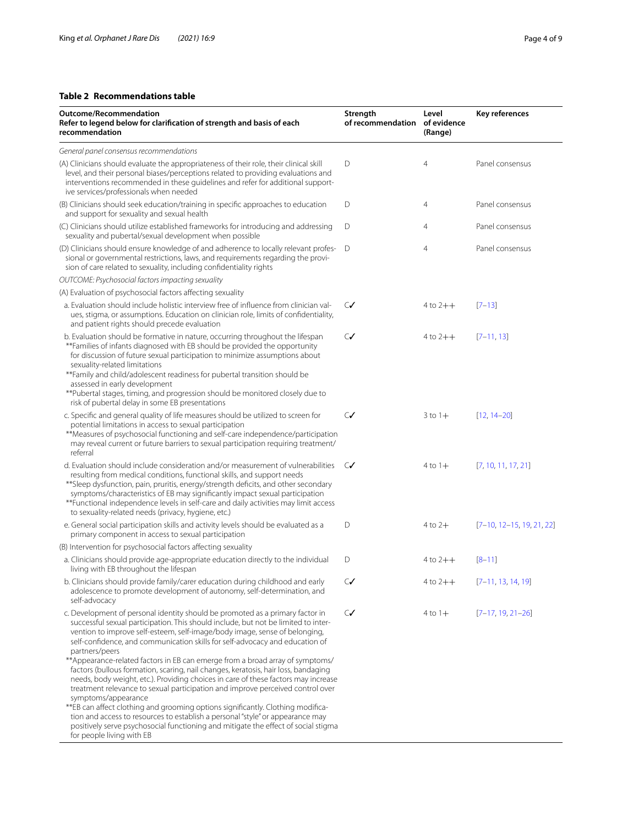## <span id="page-3-0"></span>**Table 2 Recommendations table**

| Outcome/Recommendation<br>Refer to legend below for clarification of strength and basis of each<br>recommendation                                                                                                                                                                                                                                                                                                                                                                                                                                                                                                                                                                                                                                                                                             | Strength<br>of recommendation of evidence | Level<br>(Range) | Key references              |  |
|---------------------------------------------------------------------------------------------------------------------------------------------------------------------------------------------------------------------------------------------------------------------------------------------------------------------------------------------------------------------------------------------------------------------------------------------------------------------------------------------------------------------------------------------------------------------------------------------------------------------------------------------------------------------------------------------------------------------------------------------------------------------------------------------------------------|-------------------------------------------|------------------|-----------------------------|--|
| General panel consensus recommendations                                                                                                                                                                                                                                                                                                                                                                                                                                                                                                                                                                                                                                                                                                                                                                       |                                           |                  |                             |  |
| (A) Clinicians should evaluate the appropriateness of their role, their clinical skill<br>level, and their personal biases/perceptions related to providing evaluations and<br>interventions recommended in these guidelines and refer for additional support-<br>ive services/professionals when needed                                                                                                                                                                                                                                                                                                                                                                                                                                                                                                      | D                                         | $\overline{4}$   | Panel consensus             |  |
| (B) Clinicians should seek education/training in specific approaches to education<br>and support for sexuality and sexual health                                                                                                                                                                                                                                                                                                                                                                                                                                                                                                                                                                                                                                                                              | D                                         | 4                | Panel consensus             |  |
| (C) Clinicians should utilize established frameworks for introducing and addressing<br>sexuality and pubertal/sexual development when possible                                                                                                                                                                                                                                                                                                                                                                                                                                                                                                                                                                                                                                                                | D                                         | $\overline{4}$   | Panel consensus             |  |
| (D) Clinicians should ensure knowledge of and adherence to locally relevant profes-<br>sional or governmental restrictions, laws, and requirements regarding the provi-<br>sion of care related to sexuality, including confidentiality rights                                                                                                                                                                                                                                                                                                                                                                                                                                                                                                                                                                | D                                         | $\overline{4}$   | Panel consensus             |  |
| OUTCOME: Psychosocial factors impacting sexuality                                                                                                                                                                                                                                                                                                                                                                                                                                                                                                                                                                                                                                                                                                                                                             |                                           |                  |                             |  |
| (A) Evaluation of psychosocial factors affecting sexuality                                                                                                                                                                                                                                                                                                                                                                                                                                                                                                                                                                                                                                                                                                                                                    |                                           |                  |                             |  |
| a. Evaluation should include holistic interview free of influence from clinician val-<br>ues, stigma, or assumptions. Education on clinician role, limits of confidentiality,<br>and patient rights should precede evaluation                                                                                                                                                                                                                                                                                                                                                                                                                                                                                                                                                                                 | $\mathsf{C}\mathsf{V}$                    | $4$ to $2++$     | $[7-13]$                    |  |
| b. Evaluation should be formative in nature, occurring throughout the lifespan<br>**Families of infants diagnosed with EB should be provided the opportunity<br>for discussion of future sexual participation to minimize assumptions about<br>sexuality-related limitations<br>** Family and child/adolescent readiness for pubertal transition should be<br>assessed in early development<br>** Pubertal stages, timing, and progression should be monitored closely due to<br>risk of pubertal delay in some EB presentations                                                                                                                                                                                                                                                                              | $\mathsf{C}\mathsf{V}$                    | $4$ to $2++$     | $[7-11, 13]$                |  |
| c. Specific and general quality of life measures should be utilized to screen for<br>potential limitations in access to sexual participation<br>**Measures of psychosocial functioning and self-care independence/participation<br>may reveal current or future barriers to sexual participation requiring treatment/<br>referral                                                                                                                                                                                                                                                                                                                                                                                                                                                                             | $\mathcal{C}$                             | $3$ to $1+$      | $[12, 14 - 20]$             |  |
| d. Evaluation should include consideration and/or measurement of vulnerabilities<br>resulting from medical conditions, functional skills, and support needs<br>** Sleep dysfunction, pain, pruritis, energy/strength deficits, and other secondary<br>symptoms/characteristics of EB may significantly impact sexual participation<br>**Functional independence levels in self-care and daily activities may limit access<br>to sexuality-related needs (privacy, hygiene, etc.)                                                                                                                                                                                                                                                                                                                              | $\mathcal{C}$                             | $4$ to $1+$      | [7, 10, 11, 17, 21]         |  |
| e. General social participation skills and activity levels should be evaluated as a<br>primary component in access to sexual participation                                                                                                                                                                                                                                                                                                                                                                                                                                                                                                                                                                                                                                                                    | D                                         | $4$ to $2+$      | $[7-10, 12-15, 19, 21, 22]$ |  |
| (B) Intervention for psychosocial factors affecting sexuality                                                                                                                                                                                                                                                                                                                                                                                                                                                                                                                                                                                                                                                                                                                                                 |                                           |                  |                             |  |
| a. Clinicians should provide age-appropriate education directly to the individual<br>living with EB throughout the lifespan                                                                                                                                                                                                                                                                                                                                                                                                                                                                                                                                                                                                                                                                                   | D                                         | $4$ to $2++$     | $[8 - 11]$                  |  |
| b. Clinicians should provide family/carer education during childhood and early<br>adolescence to promote development of autonomy, self-determination, and<br>self-advocacy                                                                                                                                                                                                                                                                                                                                                                                                                                                                                                                                                                                                                                    | $\mathsf{C}\mathsf{V}$                    | $4$ to $2++$     | $[7-11, 13, 14, 19]$        |  |
| c. Development of personal identity should be promoted as a primary factor in<br>successful sexual participation. This should include, but not be limited to inter-<br>vention to improve self-esteem, self-image/body image, sense of belonging,<br>self-confidence, and communication skills for self-advocacy and education of<br>partners/peers<br>** Appearance-related factors in EB can emerge from a broad array of symptoms/<br>factors (bullous formation, scaring, nail changes, keratosis, hair loss, bandaging<br>needs, body weight, etc.). Providing choices in care of these factors may increase<br>treatment relevance to sexual participation and improve perceived control over<br>symptoms/appearance<br>**EB can affect clothing and grooming options significantly. Clothing modifica- | $\mathcal{C}$                             | $4$ to $1+$      | $[7-17, 19, 21-26]$         |  |
| tion and access to resources to establish a personal "style" or appearance may<br>positively serve psychosocial functioning and mitigate the effect of social stigma<br>for people living with EB                                                                                                                                                                                                                                                                                                                                                                                                                                                                                                                                                                                                             |                                           |                  |                             |  |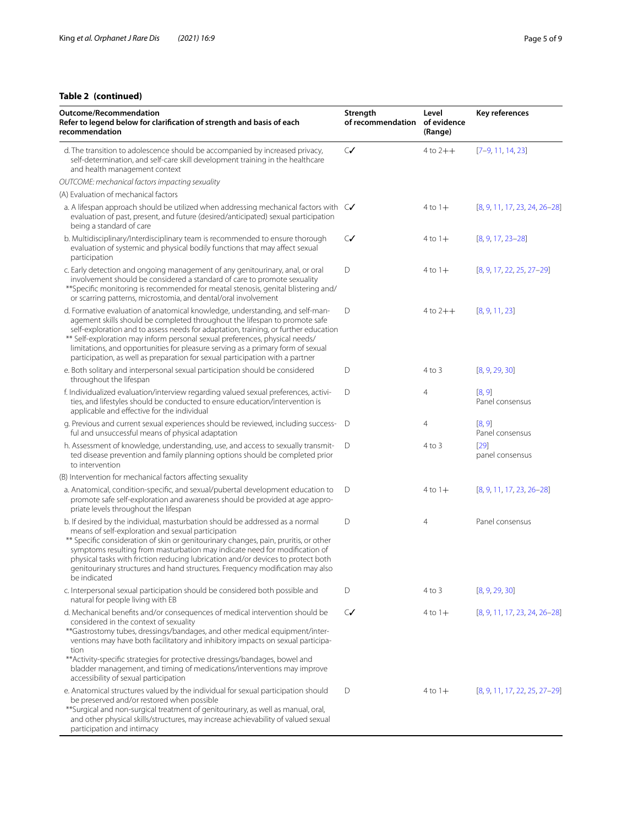## **Table 2 (continued)**

| <b>Outcome/Recommendation</b><br>Refer to legend below for clarification of strength and basis of each<br>recommendation                                                                                                                                                                                                                                                                                                                                                                              | Strength<br>of recommendation of evidence | Level<br>(Range) | Key references                    |  |
|-------------------------------------------------------------------------------------------------------------------------------------------------------------------------------------------------------------------------------------------------------------------------------------------------------------------------------------------------------------------------------------------------------------------------------------------------------------------------------------------------------|-------------------------------------------|------------------|-----------------------------------|--|
| d. The transition to adolescence should be accompanied by increased privacy,<br>self-determination, and self-care skill development training in the healthcare<br>and health management context                                                                                                                                                                                                                                                                                                       | $\mathsf{C}$                              | $4$ to $2++$     | $[7-9, 11, 14, 23]$               |  |
| OUTCOME: mechanical factors impacting sexuality                                                                                                                                                                                                                                                                                                                                                                                                                                                       |                                           |                  |                                   |  |
| (A) Evaluation of mechanical factors                                                                                                                                                                                                                                                                                                                                                                                                                                                                  |                                           |                  |                                   |  |
| a. A lifespan approach should be utilized when addressing mechanical factors with $C\checkmark$<br>evaluation of past, present, and future (desired/anticipated) sexual participation<br>being a standard of care                                                                                                                                                                                                                                                                                     |                                           | $4$ to $1+$      | $[8, 9, 11, 17, 23, 24, 26-28]$   |  |
| b. Multidisciplinary/Interdisciplinary team is recommended to ensure thorough<br>evaluation of systemic and physical bodily functions that may affect sexual<br>participation                                                                                                                                                                                                                                                                                                                         | $\mathsf{C}\mathsf{V}$                    | $4$ to $1+$      | $[8, 9, 17, 23 - 28]$             |  |
| c. Early detection and ongoing management of any genitourinary, anal, or oral<br>involvement should be considered a standard of care to promote sexuality<br>** Specific monitoring is recommended for meatal stenosis, genital blistering and/<br>or scarring patterns, microstomia, and dental/oral involvement                                                                                                                                                                                     | D                                         | $4$ to $1+$      | $[8, 9, 17, 22, 25, 27-29]$       |  |
| d. Formative evaluation of anatomical knowledge, understanding, and self-man-<br>agement skills should be completed throughout the lifespan to promote safe<br>self-exploration and to assess needs for adaptation, training, or further education<br>** Self-exploration may inform personal sexual preferences, physical needs/<br>limitations, and opportunities for pleasure serving as a primary form of sexual<br>participation, as well as preparation for sexual participation with a partner | D                                         | $4$ to $2++$     | [8, 9, 11, 23]                    |  |
| e. Both solitary and interpersonal sexual participation should be considered<br>throughout the lifespan                                                                                                                                                                                                                                                                                                                                                                                               | D                                         | 4 to 3           | [8, 9, 29, 30]                    |  |
| f. Individualized evaluation/interview regarding valued sexual preferences, activi-<br>ties, and lifestyles should be conducted to ensure education/intervention is<br>applicable and effective for the individual                                                                                                                                                                                                                                                                                    | D                                         | 4                | [8, 9]<br>Panel consensus         |  |
| g. Previous and current sexual experiences should be reviewed, including success-<br>ful and unsuccessful means of physical adaptation                                                                                                                                                                                                                                                                                                                                                                | D                                         | 4                | [8, 9]<br>Panel consensus         |  |
| h. Assessment of knowledge, understanding, use, and access to sexually transmit-<br>ted disease prevention and family planning options should be completed prior<br>to intervention                                                                                                                                                                                                                                                                                                                   | D                                         | $4$ to $3$       | $[29]$<br>panel consensus         |  |
| (B) Intervention for mechanical factors affecting sexuality                                                                                                                                                                                                                                                                                                                                                                                                                                           |                                           |                  |                                   |  |
| a. Anatomical, condition-specific, and sexual/pubertal development education to<br>promote safe self-exploration and awareness should be provided at age appro-<br>priate levels throughout the lifespan                                                                                                                                                                                                                                                                                              | D                                         | $4$ to $1+$      | $[8, 9, 11, 17, 23, 26-28]$       |  |
| b. If desired by the individual, masturbation should be addressed as a normal<br>means of self-exploration and sexual participation<br>** Specific consideration of skin or genitourinary changes, pain, pruritis, or other<br>symptoms resulting from masturbation may indicate need for modification of<br>physical tasks with friction reducing lubrication and/or devices to protect both<br>genitourinary structures and hand structures. Frequency modification may also<br>be indicated        | D                                         | 4                | Panel consensus                   |  |
| c. Interpersonal sexual participation should be considered both possible and<br>natural for people living with EB                                                                                                                                                                                                                                                                                                                                                                                     | D                                         | 4 to 3           | [8, 9, 29, 30]                    |  |
| d. Mechanical benefits and/or consequences of medical intervention should be<br>considered in the context of sexuality<br>** Gastrostomy tubes, dressings/bandages, and other medical equipment/inter-<br>ventions may have both facilitatory and inhibitory impacts on sexual participa-<br>tion<br>** Activity-specific strategies for protective dressings/bandages, bowel and<br>bladder management, and timing of medications/interventions may improve<br>accessibility of sexual participation | $\mathcal{C}$                             | $4$ to $1+$      | $[8, 9, 11, 17, 23, 24, 26 - 28]$ |  |
| e. Anatomical structures valued by the individual for sexual participation should<br>be preserved and/or restored when possible<br>**Surgical and non-surgical treatment of genitourinary, as well as manual, oral,<br>and other physical skills/structures, may increase achievability of valued sexual<br>participation and intimacy                                                                                                                                                                | D                                         | $4$ to $1+$      | $[8, 9, 11, 17, 22, 25, 27-29]$   |  |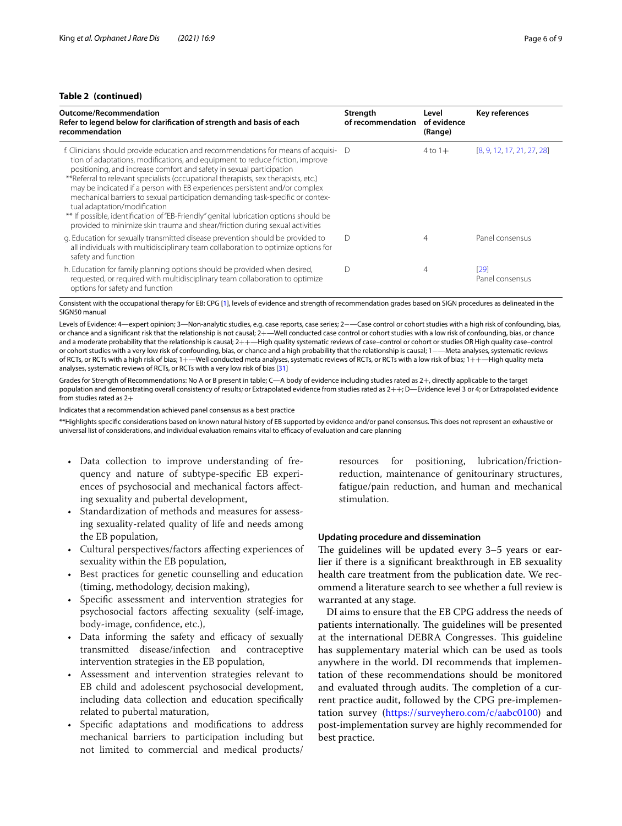## **Table 2 (continued)**

| Outcome/Recommendation<br>Refer to legend below for clarification of strength and basis of each<br>recommendation                                                                                                                                                                                                                                                                                                                                                                                                                                                                                                                                                                                          | Strength<br>of recommendation | Level<br>of evidence<br>(Range) | Key references             |
|------------------------------------------------------------------------------------------------------------------------------------------------------------------------------------------------------------------------------------------------------------------------------------------------------------------------------------------------------------------------------------------------------------------------------------------------------------------------------------------------------------------------------------------------------------------------------------------------------------------------------------------------------------------------------------------------------------|-------------------------------|---------------------------------|----------------------------|
| f. Clinicians should provide education and recommendations for means of acquisi- D<br>tion of adaptations, modifications, and equipment to reduce friction, improve<br>positioning, and increase comfort and safety in sexual participation<br>**Referral to relevant specialists (occupational therapists, sex therapists, etc.)<br>may be indicated if a person with EB experiences persistent and/or complex<br>mechanical barriers to sexual participation demanding task-specific or contex-<br>tual adaptation/modification<br>** If possible, identification of "EB-Friendly" genital lubrication options should be<br>provided to minimize skin trauma and shear/friction during sexual activities |                               | $4$ to $1+$                     | [8, 9, 12, 17, 21, 27, 28] |
| g. Education for sexually transmitted disease prevention should be provided to<br>all individuals with multidisciplinary team collaboration to optimize options for<br>safety and function                                                                                                                                                                                                                                                                                                                                                                                                                                                                                                                 | D                             | 4                               | Panel consensus            |
| h. Education for family planning options should be provided when desired,<br>requested, or required with multidisciplinary team collaboration to optimize<br>options for safety and function                                                                                                                                                                                                                                                                                                                                                                                                                                                                                                               | D                             | 4                               | [29]<br>Panel consensus    |

Consistent with the occupational therapy for EB: CPG [[1](#page-7-0)], levels of evidence and strength of recommendation grades based on SIGN procedures as delineated in the SIGN50 manual

Levels of Evidence: 4—expert opinion; 3—Non-analytic studies, e.g. case reports, case series; 2−—Case control or cohort studies with a high risk of confounding, bias, or chance and a significant risk that the relationship is not causal; 2+—Well conducted case control or cohort studies with a low risk of confounding, bias, or chance and a moderate probability that the relationship is causal;  $2++$ —High quality systematic reviews of case–control or cohort or studies OR High quality case–control or cohort studies with a very low risk of confounding, bias, or chance and a high probability that the relationship is causal; 1−—Meta analyses, systematic reviews of RCTs, or RCTs with a high risk of bias; 1+—Well conducted meta analyses, systematic reviews of RCTs, or RCTs with a low risk of bias; 1++—High quality meta analyses, systematic reviews of RCTs, or RCTs with a very low risk of bias [[31](#page-8-13)]

Grades for Strength of Recommendations: No A or B present in table; C—A body of evidence including studies rated as 2+, directly applicable to the target population and demonstrating overall consistency of results*;* or Extrapolated evidence from studies rated as 2++; D—Evidence level 3 or 4; or Extrapolated evidence from studies rated as 2+

Indicates that a recommendation achieved panel consensus as a best practice

\*\*Highlights specifc considerations based on known natural history of EB supported by evidence and/or panel consensus. This does not represent an exhaustive or universal list of considerations, and individual evaluation remains vital to efficacy of evaluation and care planning

- Data collection to improve understanding of frequency and nature of subtype-specifc EB experiences of psychosocial and mechanical factors afecting sexuality and pubertal development,
- Standardization of methods and measures for assessing sexuality-related quality of life and needs among the EB population,
- Cultural perspectives/factors afecting experiences of sexuality within the EB population,
- Best practices for genetic counselling and education (timing, methodology, decision making),
- Specifc assessment and intervention strategies for psychosocial factors afecting sexuality (self-image, body-image, confdence, etc.),
- Data informing the safety and efficacy of sexually transmitted disease/infection and contraceptive intervention strategies in the EB population,
- Assessment and intervention strategies relevant to EB child and adolescent psychosocial development, including data collection and education specifcally related to pubertal maturation,
- Specific adaptations and modifications to address mechanical barriers to participation including but not limited to commercial and medical products/

resources for positioning, lubrication/frictionreduction, maintenance of genitourinary structures, fatigue/pain reduction, and human and mechanical stimulation.

## **Updating procedure and dissemination**

The guidelines will be updated every  $3-5$  years or earlier if there is a signifcant breakthrough in EB sexuality health care treatment from the publication date. We recommend a literature search to see whether a full review is warranted at any stage.

DI aims to ensure that the EB CPG address the needs of patients internationally. The guidelines will be presented at the international DEBRA Congresses. This guideline has supplementary material which can be used as tools anywhere in the world. DI recommends that implementation of these recommendations should be monitored and evaluated through audits. The completion of a current practice audit, followed by the CPG pre-implementation survey [\(https://surveyhero.com/c/aabc0100](https://surveyhero.com/c/aabc0100)) and post-implementation survey are highly recommended for best practice.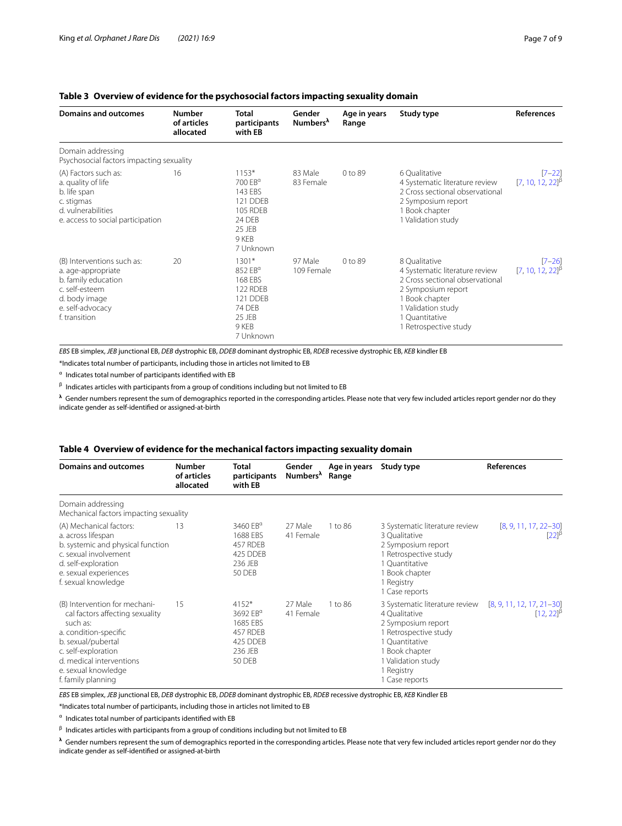## <span id="page-6-0"></span>**Table 3 Overview of evidence for the psychosocial factors impacting sexuality domain**

| <b>Domains and outcomes</b>                                                                                                                     | <b>Number</b><br>of articles<br>allocated | <b>Total</b><br>participants<br>with EB                                                                   | Gender<br>Numbers <sup>1</sup> | Age in years<br>Range | Study type                                                                                                                                                                                  | <b>References</b>                                             |
|-------------------------------------------------------------------------------------------------------------------------------------------------|-------------------------------------------|-----------------------------------------------------------------------------------------------------------|--------------------------------|-----------------------|---------------------------------------------------------------------------------------------------------------------------------------------------------------------------------------------|---------------------------------------------------------------|
| Domain addressing<br>Psychosocial factors impacting sexuality                                                                                   |                                           |                                                                                                           |                                |                       |                                                                                                                                                                                             |                                                               |
| (A) Factors such as:<br>a. quality of life<br>b. life span<br>c. stigmas<br>d. vulnerabilities<br>e. access to social participation             | 16                                        | $1153*$<br>700 $EB^{\alpha}$<br>143 EBS<br>121 DDFB<br>105 RDEB<br>24 DEB<br>25 JEB<br>9 KEB<br>7 Unknown | 83 Male<br>83 Female           | $0$ to $89$           | 6 Oualitative<br>4 Systematic literature review<br>2 Cross sectional observational<br>2 Symposium report<br>1 Book chapter<br>1 Validation study                                            | $[7 - 22]$<br>$[7, 10, 12, 22]$ <sup><math>\beta</math></sup> |
| (B) Interventions such as:<br>a. age-appropriate<br>b. family education<br>c. self-esteem<br>d. body image<br>e. self-advocacy<br>f. transition | 20                                        | $1301*$<br>852 $EB^{\alpha}$<br>168 EBS<br>122 RDEB<br>121 DDEB<br>74 DEB<br>25 JEB<br>9 KEB<br>7 Unknown | 97 Male<br>109 Female          | 0 to 89               | 8 Oualitative<br>4 Systematic literature review<br>2 Cross sectional observational<br>2 Symposium report<br>1 Book chapter<br>1 Validation study<br>1 Ouantitative<br>1 Retrospective study | $[7 - 26]$<br>$[7, 10, 12, 22]$ <sup>B</sup>                  |

*EBS* EB simplex, *JEB* junctional EB, *DEB* dystrophic EB, *DDEB* dominant dystrophic EB, *RDEB* recessive dystrophic EB, *KEB* kindler EB

\*Indicates total number of participants, including those in articles not limited to EB

<sup>α</sup> Indicates total number of participants identifed with EB

 $β$  Indicates articles with participants from a group of conditions including but not limited to EB

**λ** Gender numbers represent the sum of demographics reported in the corresponding articles. Please note that very few included articles report gender nor do they indicate gender as self-identifed or assigned-at-birth

## <span id="page-6-1"></span>**Table 4 Overview of evidence for the mechanical factors impacting sexuality domain**

| <b>Domains and outcomes</b>                                                                                                                                                                                                 | <b>Number</b><br>of articles<br>allocated | <b>Total</b><br>participants<br>with EB                                                  | Gender<br>Numbers <sup>^</sup> | Age in years<br>Range | Study type                                                                                                                                                                               | References                                    |
|-----------------------------------------------------------------------------------------------------------------------------------------------------------------------------------------------------------------------------|-------------------------------------------|------------------------------------------------------------------------------------------|--------------------------------|-----------------------|------------------------------------------------------------------------------------------------------------------------------------------------------------------------------------------|-----------------------------------------------|
| Domain addressing<br>Mechanical factors impacting sexuality                                                                                                                                                                 |                                           |                                                                                          |                                |                       |                                                                                                                                                                                          |                                               |
| (A) Mechanical factors:<br>a. across lifespan<br>b. systemic and physical function<br>c. sexual involvement<br>d. self-exploration<br>e. sexual experiences<br>f. sexual knowledge                                          | 13                                        | 3460 EB <sup>a</sup><br>1688 EBS<br>457 RDEB<br>425 DDEB<br>236 JEB<br>50 DEB            | 27 Male<br>41 Female           | 1 to 86               | 3 Systematic literature review<br>3 Qualitative<br>2 Symposium report<br>1 Retrospective study<br>1 Quantitative<br>1 Book chapter<br>1 Registry<br>1 Case reports                       | $[8, 9, 11, 17, 22 - 30]$<br>$[22]^{p}$       |
| (B) Intervention for mechani-<br>cal factors affecting sexuality<br>such as:<br>a. condition-specific<br>b. sexual/pubertal<br>c. self-exploration<br>d. medical interventions<br>e. sexual knowledge<br>f. family planning | 15                                        | $4152*$<br>3692 EB <sup>a</sup><br>1685 EBS<br>457 RDEB<br>425 DDEB<br>236 JEB<br>50 DEB | 27 Male<br>41 Female           | 1 to 86               | 3 Systematic literature review<br>4 Oualitative<br>2 Symposium report<br>1 Retrospective study<br>1 Quantitative<br>1 Book chapter<br>1 Validation study<br>1 Registry<br>1 Case reports | $[8, 9, 11, 12, 17, 21-30]$<br>$[12, 22]^{8}$ |

*EBS* EB simplex, *JEB* junctional EB, *DEB* dystrophic EB, *DDEB* dominant dystrophic EB, *RDEB* recessive dystrophic EB, *KEB* Kindler EB

\*Indicates total number of participants, including those in articles not limited to EB

<sup>α</sup> Indicates total number of participants identifed with EB

 $β$  Indicates articles with participants from a group of conditions including but not limited to EB

**λ** Gender numbers represent the sum of demographics reported in the corresponding articles. Please note that very few included articles report gender nor do they indicate gender as self-identifed or assigned-at-birth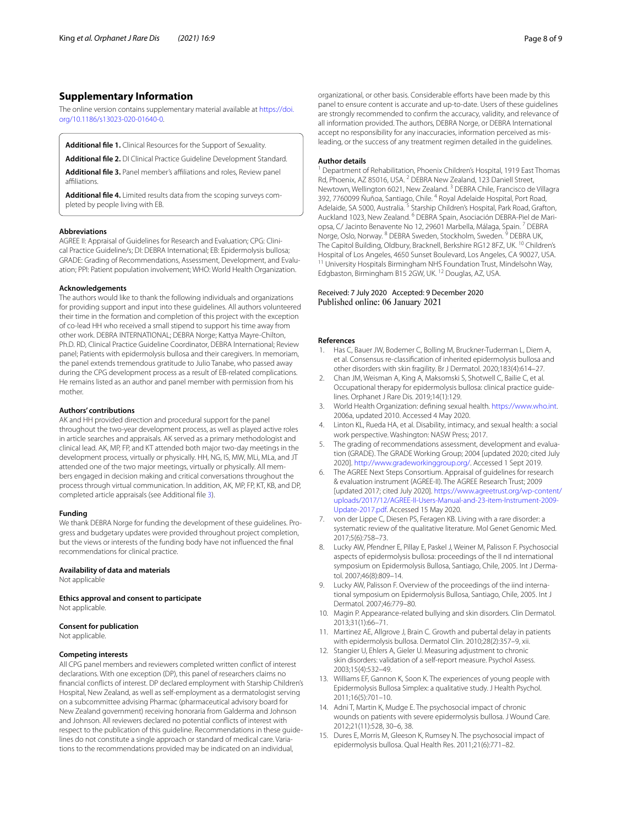## **Supplementary Information**

The online version contains supplementary material available at [https://doi.](https://doi.org/10.1186/s13023-020-01640-0) [org/10.1186/s13023-020-01640-0](https://doi.org/10.1186/s13023-020-01640-0).

<span id="page-7-4"></span><span id="page-7-3"></span>**Additional fle 1.** Clinical Resources for the Support of Sexuality.

<span id="page-7-5"></span>**Additional fle 2.** DI Clinical Practice Guideline Development Standard. **Additional fle 3.** Panel member's afliations and roles, Review panel

**Additional fle 4.** Limited results data from the scoping surveys completed by people living with EB.

#### **Abbreviations**

<span id="page-7-7"></span>affiliations

AGREE II: Appraisal of Guidelines for Research and Evaluation; CPG: Clinical Practice Guideline/s; DI: DEBRA International; EB: Epidermolysis bullosa; GRADE: Grading of Recommendations, Assessment, Development, and Evaluation; PPI: Patient population involvement; WHO: World Health Organization.

#### **Acknowledgements**

The authors would like to thank the following individuals and organizations for providing support and input into these guidelines. All authors volunteered their time in the formation and completion of this project with the exception of co-lead HH who received a small stipend to support his time away from other work. DEBRA INTERNATIONAL; DEBRA Norge; Kattya Mayre-Chilton, Ph.D. RD, Clinical Practice Guideline Coordinator, DEBRA International; Review panel; Patients with epidermolysis bullosa and their caregivers. In memoriam, the panel extends tremendous gratitude to Julio Tanabe, who passed away during the CPG development process as a result of EB-related complications. He remains listed as an author and panel member with permission from his mother.

#### **Authors' contributions**

AK and HH provided direction and procedural support for the panel throughout the two-year development process, as well as played active roles in article searches and appraisals. AK served as a primary methodologist and clinical lead. AK, MP, FP, and KT attended both major two-day meetings in the development process, virtually or physically. HH, NG, IS, MW, MLi, MLa, and JT attended one of the two major meetings, virtually or physically. All members engaged in decision making and critical conversations throughout the process through virtual communication. In addition, AK, MP, FP, KT, KB, and DP, completed article appraisals (see Additional fle [3\)](#page-7-5).

#### **Funding**

We thank DEBRA Norge for funding the development of these guidelines. Progress and budgetary updates were provided throughout project completion, but the views or interests of the funding body have not infuenced the fnal recommendations for clinical practice.

## **Availability of data and materials**

Not applicable

**Ethics approval and consent to participate** Not applicable.

#### **Consent for publication**

Not applicable.

#### **Competing interests**

All CPG panel members and reviewers completed written confict of interest declarations. With one exception (DP), this panel of researchers claims no fnancial conficts of interest. DP declared employment with Starship Children's Hospital, New Zealand, as well as self-employment as a dermatologist serving on a subcommittee advising Pharmac (pharmaceutical advisory board for New Zealand government) receiving honoraria from Galderma and Johnson and Johnson. All reviewers declared no potential conficts of interest with respect to the publication of this guideline. Recommendations in these guidelines do not constitute a single approach or standard of medical care. Variations to the recommendations provided may be indicated on an individual,

organizational, or other basis. Considerable efforts have been made by this panel to ensure content is accurate and up-to-date. Users of these guidelines are strongly recommended to confrm the accuracy, validity, and relevance of all information provided. The authors, DEBRA Norge, or DEBRA International accept no responsibility for any inaccuracies, information perceived as misleading, or the success of any treatment regimen detailed in the guidelines.

#### **Author details**

<sup>1</sup> Department of Rehabilitation, Phoenix Children's Hospital, 1919 East Thomas Rd, Phoenix, AZ 85016, USA. <sup>2</sup> DEBRA New Zealand, 123 Daniell Street, Newtown, Wellington 6021, New Zealand. 3 DEBRA Chile, Francisco de Villagra 392, 7760099 Ñuñoa, Santiago, Chile. 4 Royal Adelaide Hospital, Port Road, Adelaide, SA 5000, Australia.<sup>5</sup> Starship Children's Hospital, Park Road, Grafton, Auckland 1023, New Zealand. 6 DEBRA Spain, Asociación DEBRA-Piel de Mariopsa, C/ Jacinto Benavente No 12, 29601 Marbella, Málaga, Spain. 7 DEBRA Norge, Oslo, Norway. <sup>8</sup> DEBRA Sweden, Stockholm, Sweden. <sup>9</sup> DEBRA UK, The Capitol Building, Oldbury, Bracknell, Berkshire RG12 8FZ, UK. 10 Children's Hospital of Los Angeles, 4650 Sunset Boulevard, Los Angeles, CA 90027, USA. 11 University Hospitals Birmingham NHS Foundation Trust, Mindelsohn Way, Edgbaston, Birmingham B15 2GW, UK. 12 Douglas, AZ, USA.

#### Received: 7 July 2020 Accepted: 9 December 2020 Published online: 06 January 2021

#### **References**

- <span id="page-7-0"></span>1. Has C, Bauer JW, Bodemer C, Bolling M, Bruckner-Tuderman L, Diem A, et al. Consensus re-classifcation of inherited epidermolysis bullosa and other disorders with skin fragility. Br J Dermatol. 2020;183(4):614–27.
- <span id="page-7-1"></span>2. Chan JM, Weisman A, King A, Maksomski S, Shotwell C, Bailie C, et al. Occupational therapy for epidermolysis bullosa: clinical practice guidelines. Orphanet J Rare Dis. 2019;14(1):129.
- <span id="page-7-2"></span>3. World Health Organization: defning sexual health. <https://www.who.int>. 2006a, updated 2010. Accessed 4 May 2020.
- <span id="page-7-6"></span>4. Linton KL, Rueda HA, et al. Disability, intimacy, and sexual health: a social work perspective. Washington: NASW Press; 2017.
- <span id="page-7-8"></span>5. The grading of recommendations assessment, development and evaluation (GRADE). The GRADE Working Group; 2004 [updated 2020; cited July 2020].<http://www.gradeworkinggroup.org/>. Accessed 1 Sept 2019.
- <span id="page-7-9"></span>6. The AGREE Next Steps Consortium. Appraisal of guidelines for research & evaluation instrument (AGREE-II). The AGREE Research Trust; 2009 [updated 2017; cited July 2020]. [https://www.agreetrust.org/wp-content/](https://www.agreetrust.org/wp-content/uploads/2017/12/AGREE-II-Users-Manual-and-23-item-Instrument-2009-Update-2017.pdf) [uploads/2017/12/AGREE-II-Users-Manual-and-23-item-Instrument-2009-](https://www.agreetrust.org/wp-content/uploads/2017/12/AGREE-II-Users-Manual-and-23-item-Instrument-2009-Update-2017.pdf) [Update-2017.pdf](https://www.agreetrust.org/wp-content/uploads/2017/12/AGREE-II-Users-Manual-and-23-item-Instrument-2009-Update-2017.pdf). Accessed 15 May 2020.
- <span id="page-7-10"></span>7. von der Lippe C, Diesen PS, Feragen KB. Living with a rare disorder: a systematic review of the qualitative literature. Mol Genet Genomic Med. 2017;5(6):758–73.
- <span id="page-7-17"></span>8. Lucky AW, Pfendner E, Pillay E, Paskel J, Weiner M, Palisson F. Psychosocial aspects of epidermolysis bullosa: proceedings of the II nd international symposium on Epidermolysis Bullosa, Santiago, Chile, 2005. Int J Dermatol. 2007;46(8):809–14.
- <span id="page-7-18"></span>9. Lucky AW, Palisson F. Overview of the proceedings of the iind international symposium on Epidermolysis Bullosa, Santiago, Chile, 2005. Int J Dermatol. 2007;46:779–80.
- <span id="page-7-15"></span>10. Magin P. Appearance-related bullying and skin disorders. Clin Dermatol. 2013;31(1):66–71.
- <span id="page-7-12"></span>11. Martinez AE, Allgrove J, Brain C. Growth and pubertal delay in patients with epidermolysis bullosa. Dermatol Clin. 2010;28(2):357–9, xii.
- <span id="page-7-13"></span>12. Stangier U, Ehlers A, Gieler U. Measuring adjustment to chronic skin disorders: validation of a self-report measure. Psychol Assess. 2003;15(4):532–49.
- <span id="page-7-11"></span>13. Williams EF, Gannon K, Soon K. The experiences of young people with Epidermolysis Bullosa Simplex: a qualitative study. J Health Psychol. 2011;16(5):701–10.
- <span id="page-7-14"></span>14. Adni T, Martin K, Mudge E. The psychosocial impact of chronic wounds on patients with severe epidermolysis bullosa. J Wound Care. 2012;21(11):528, 30–6, 38.
- <span id="page-7-16"></span>15. Dures E, Morris M, Gleeson K, Rumsey N. The psychosocial impact of epidermolysis bullosa. Qual Health Res. 2011;21(6):771–82.